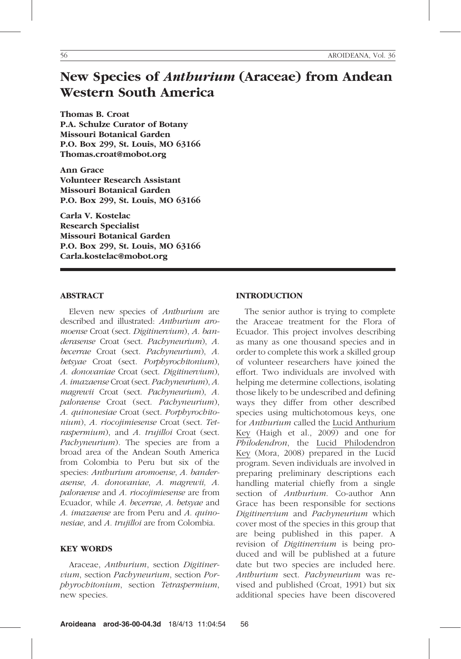# New Species of Anthurium (Araceae) from Andean Western South America

Thomas B. Croat P.A. Schulze Curator of Botany Missouri Botanical Garden P.O. Box 299, St. Louis, MO 63166 Thomas.croat@mobot.org

Ann Grace Volunteer Research Assistant Missouri Botanical Garden P.O. Box 299, St. Louis, MO 63166

Carla V. Kostelac Research Specialist Missouri Botanical Garden P.O. Box 299, St. Louis, MO 63166 Carla.kostelac@mobot.org

## ABSTRACT

Eleven new species of Anthurium are described and illustrated: Anthurium aromoense Croat (sect. Digitinervium), A. banderasense Croat (sect. Pachyneurium), A. becerrae Croat (sect. Pachyneurium), A. betsyae Croat (sect. Porphyrochitonium), A. donovaniae Croat (sect. Digitinervium), A. imazaense Croat (sect. Pachyneurium), A. magrewii Croat (sect. Pachyneurium), A. paloraense Croat (sect. Pachyneurium), A. quinonesiae Croat (sect. Porphyrochitonium), A. riocojimiesense Croat (sect. Tetraspermium), and A. trujilloi Croat (sect. Pachyneurium). The species are from a broad area of the Andean South America from Colombia to Peru but six of the species: Anthurium aromoense, A. banderasense, A. donovaniae, A. magrewii, A. paloraense and A. riocojimiesense are from Ecuador, while A. becerrae, A. betsyae and A. imazaense are from Peru and A. quinonesiae, and A. trujilloi are from Colombia.

#### KEY WORDS

Araceae, Anthurium, section Digitinervium, section Pachyneurium, section Porphyrochitonium, section Tetraspermium, new species.

#### INTRODUCTION

The senior author is trying to complete the Araceae treatment for the Flora of Ecuador. This project involves describing as many as one thousand species and in order to complete this work a skilled group of volunteer researchers have joined the effort. Two individuals are involved with helping me determine collections, isolating those likely to be undescribed and defining ways they differ from other described species using multichotomous keys, one for Anthurium called the Lucid Anthurium Key (Haigh et al., 2009) and one for Philodendron, the Lucid Philodendron Key (Mora, 2008) prepared in the Lucid program. Seven individuals are involved in preparing preliminary descriptions each handling material chiefly from a single section of *Anthurium*. Co-author Ann Grace has been responsible for sections Digitinervium and Pachyneurium which cover most of the species in this group that are being published in this paper. A revision of Digitinervium is being produced and will be published at a future date but two species are included here. Anthurium sect. Pachyneurium was revised and published (Croat, 1991) but six additional species have been discovered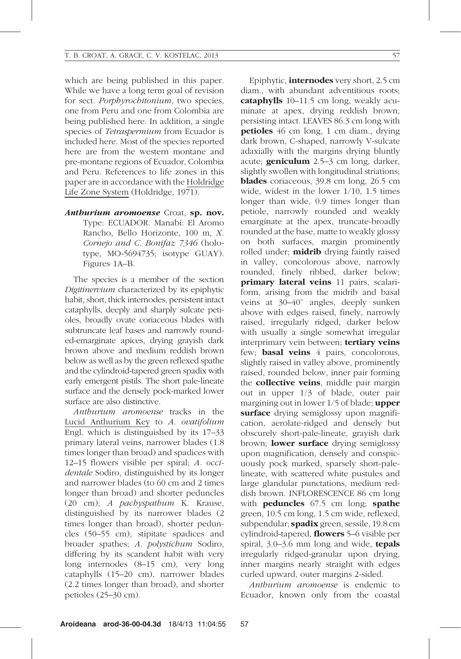which are being published in this paper. While we have a long term goal of revision for sect. Porphyrochitonium, two species, one from Peru and one from Colombia are being published here. In addition, a single species of Tetraspermium from Ecuador is included here. Most of the species reported here are from the western montane and pre-montane regions of Ecuador, Colombia and Peru. References to life zones in this paper are in accordance with the Holdridge Life Zone System (Holdridge, 1971).

Anthurium aromoense Croat, sp. nov. Type: ECUADOR. Manabí: El Aromo Rancho, Bello Horizonte, 100 m, X. Cornejo and C. Bonifaz 7346 (holotype, MO-5694735; isotype GUAY). Figures 1A–B.

The species is a member of the section Digitinervium characterized by its epiphytic habit, short, thick internodes, persistent intact cataphylls, deeply and sharply sulcate petioles, broadly ovate coriaceous blades with subtruncate leaf bases and narrowly rounded-emarginate apices, drying grayish dark brown above and medium reddish brown below as well as by the green reflexed spathe and the cylindroid-tapered green spadix with early emergent pistils. The short pale-lineate surface and the densely pock-marked lower surface are also distinctive.

Anthurium aromoense tracks in the Lucid Anthurium Key to A. ovatifolium Engl. which is distinguished by its 17–33 primary lateral veins, narrower blades (1.8 times longer than broad) and spadices with 12–15 flowers visible per spiral; A. occidentale Sodiro, distinguished by its longer and narrower blades (to 60 cm and 2 times longer than broad) and shorter peduncles (20 cm); A pachyspathum K. Krause, distinguished by its narrower blades (2 times longer than broad), shorter peduncles (50–55 cm), stipitate spadices and broader spathes; A. polystichum Sodiro, differing by its scandent habit with very long internodes (8–15 cm), very long cataphylls (15–20 cm), narrower blades (2.2 times longer than broad), and shorter petioles (25–30 cm).

Epiphytic, internodes very short, 2.5 cm diam., with abundant adventitious roots; cataphylls 10–11.5 cm long, weakly acuminate at apex, drying reddish brown, persisting intact. LEAVES 86.3 cm long with petioles 46 cm long, 1 cm diam., drying dark brown, C-shaped, narrowly V-sulcate adaxially with the margins drying bluntly acute; geniculum 2.5–3 cm long, darker, slightly swollen with longitudinal striations; blades coriaceous, 39.8 cm long, 26.5 cm wide, widest in the lower 1/10, 1.5 times longer than wide, 0.9 times longer than petiole, narrowly rounded and weakly emarginate at the apex, truncate-broadly rounded at the base, matte to weakly glossy on both surfaces, margin prominently rolled under; **midrib** drying faintly raised in valley, concolorous above, narrowly rounded, finely ribbed, darker below; primary lateral veins 11 pairs, scalariform, arising from the midrib and basal veins at  $30-40^\circ$  angles, deeply sunken above with edges raised, finely, narrowly raised, irregularly ridged, darker below with usually a single somewhat irregular interprimary vein between; **tertiary veins** few; **basal veins**  $4$  pairs, concolorous, slightly raised in valley above, prominently raised, rounded below, inner pair forming the **collective veins**, middle pair margin out in upper 1/3 of blade, outer pair margining out in lower  $1/5$  of blade; **upper** surface drying semiglossy upon magnification, aerolate-ridged and densely but obscurely short-pale-lineate, grayish dark brown; **lower surface** drying semiglossy upon magnification, densely and conspicuously pock marked, sparsely short-palelineate, with scattered white pustules and large glandular punctations, medium reddish brown. INFLORESCENCE 86 cm long with **peduncles** 67.5 cm long; **spathe** green, 10.5 cm long, 1.5 cm wide, reflexed, subpendular; **spadix** green, sessile, 19.8 cm cylindroid-tapered, flowers 5–6 visible per spiral, 3.0–3.6 mm long and wide, **tepals** irregularly ridged-granular upon drying, inner margins nearly straight with edges curled upward, outer margins 2-sided.

Anthurium aromoense is endemic to Ecuador, known only from the coastal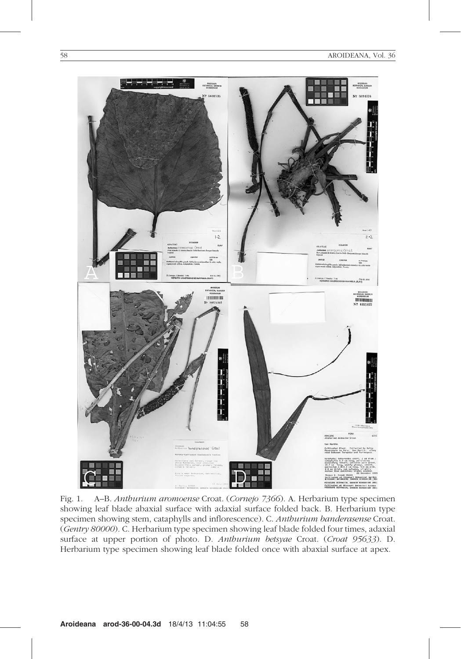

Fig. 1. A–B. Anthurium aromoense Croat. (Cornejo 7366). A. Herbarium type specimen showing leaf blade abaxial surface with adaxial surface folded back. B. Herbarium type specimen showing stem, cataphylls and inflorescence). C. Anthurium banderasense Croat. (Gentry 80000). C. Herbarium type specimen showing leaf blade folded four times, adaxial surface at upper portion of photo. D. Anthurium betsyae Croat. (Croat 95633). D. Herbarium type specimen showing leaf blade folded once with abaxial surface at apex.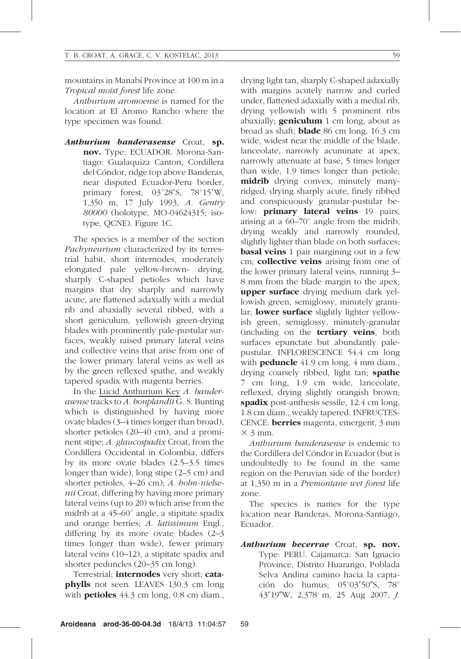mountains in Manabí Province at 100 m in a Tropical moist forest life zone.

Anthurium aromoense is named for the location at El Aromo Rancho where the type specimen was found.

Anthurium banderasense Croat, sp. nov. Type: ECUADOR. Morona-Santiago: Gualaquiza Canton, Cordillera del Cóndor, ridge top above Banderas, near disputed Ecuador-Peru border, primary forest,  $03^{\circ}28'$ S,  $78^{\circ}15'$ W, 1,350 m, 17 July 1993, A. Gentry 80000 (holotype, MO-04624315; isotype, QCNE). Figure 1C.

The species is a member of the section Pachyneurium characterized by its terrestrial habit, short internodes, moderately elongated pale yellow-brown- drying, sharply C-shaped petioles which have margins that dry sharply and narrowly acute, are flattened adaxially with a medial rib and abaxially several ribbed, with a short geniculum, yellowish green-drying blades with prominently pale-pustular surfaces, weakly raised primary lateral veins and collective veins that arise from one of the lower primary lateral veins as well as by the green reflexed spathe, and weakly tapered spadix with magenta berries.

In the Lucid Anthurium Key A. banderasense tracks to A. bonplandii G. S. Bunting which is distinguished by having more ovate blades (3–4 times longer than broad), shorter petioles (20–40 cm), and a prominent stipe; A. glaucospadix Croat, from the Cordillera Occidental in Colombia, differs by its more ovate blades (2.5–3.5 times longer than wide), long stipe (2–5 cm) and shorter petioles, 4–26 cm); A. holm-nielsenii Croat, differing by having more primary lateral veins (up to 20) which arise from the midrib at a  $45-60^\circ$  angle, a stipitate spadix and orange berries; A. latissimum Engl., differing by its more ovate blades (2–3 times longer than wide), fewer primary lateral veins (10–12), a stipitate spadix and shorter peduncles (20–35 cm long).

Terrestrial; internodes very short; cataphylls not seen. LEAVES 130.3 cm long with **petioles** 44.3 cm long, 0.8 cm diam.,

drying light tan, sharply C-shaped adaxially with margins acutely narrow and curled under, flattened adaxially with a medial rib, drying yellowish with 5 prominent ribs abaxially; **geniculum** 1 cm long, about as broad as shaft; blade 86 cm long, 16.3 cm wide, widest near the middle of the blade, lanceolate, narrowly acuminate at apex, narrowly attenuate at base, 5 times longer than wide, 1.9 times longer than petiole; midrib drying convex, minutely manyridged, drying sharply acute, finely ribbed and conspicuously granular-pustular below: **primary lateral veins** 19 pairs, arising at a  $60-70^{\circ}$  angle from the midrib, drying weakly and narrowly rounded, slightly lighter than blade on both surfaces; **basal veins** 1 pair margining out in a few cm; **collective veins** arising from one of the lower primary lateral veins, running 3– 8 mm from the blade margin to the apex; upper surface drying medium dark yellowish green, semiglossy, minutely granular; **lower surface** slightly lighter yellowish green, semiglossy, minutely-granular (including on the tertiary veins, both surfaces epunctate but abundantly palepustular. INFLORESCENCE 54.4 cm long with **peduncle** 41.9 cm long, 4 mm diam., drying coarsely ribbed, light tan; spathe 7 cm long, 1.9 cm wide, lanceolate, reflexed, drying slightly orangish brown; spadix post-anthesis sessile, 12.4 cm long, 1.8 cm diam., weakly tapered. INFRUCTES-CENCE: berries magenta, emergent, 3 mm  $\times$  3 mm.

Anthurium banderasense is endemic to the Cordillera del Cóndor in Ecuador (but is undoubtedly to be found in the same region on the Peruvian side of the border) at 1,350 m in a Premontane wet forest life zone.

The species is names for the type location near Banderas, Morona-Santiago, Ecuador.

Anthurium becerrae Croat, sp. nov. Type: PERU. Cajamarca: San Ignacio Province, Distrito Huarango, Poblada Selva Andina camino hacia la captación do humus;  $05^{\circ}03'50''\text{S}$ , 78<sup>°</sup> 43'19"W, 2,378 m, 25 Aug 2007, J.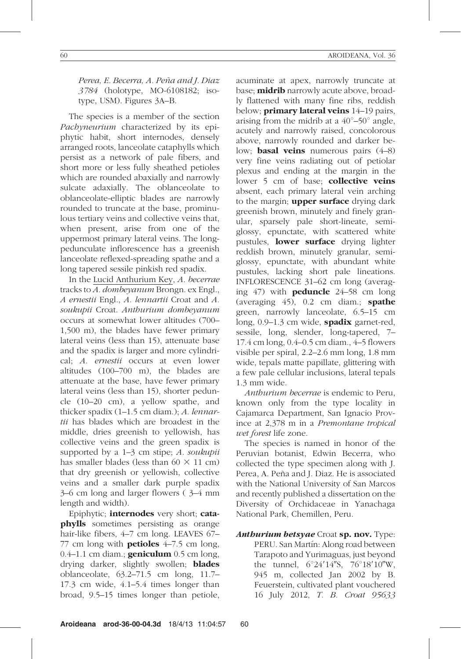Perea, E. Becerra, A. Peña and J. Diaz 3784 (holotype, MO-6108182; isotype, USM). Figures 3A–B.

The species is a member of the section Pachyneurium characterized by its epiphytic habit, short internodes, densely arranged roots, lanceolate cataphylls which persist as a network of pale fibers, and short more or less fully sheathed petioles which are rounded abaxially and narrowly sulcate adaxially. The oblanceolate to oblanceolate-elliptic blades are narrowly rounded to truncate at the base, prominulous tertiary veins and collective veins that, when present, arise from one of the uppermost primary lateral veins. The longpedunculate inflorescence has a greenish lanceolate reflexed-spreading spathe and a long tapered sessile pinkish red spadix.

In the Lucid Anthurium Key, A. becerrae tracks to A. dombeyanum Brongn. ex Engl., A ernestii Engl., A. lennartii Croat and A. soukupii Croat. Anthurium dombeyanum occurs at somewhat lower altitudes (700– 1,500 m), the blades have fewer primary lateral veins (less than 15), attenuate base and the spadix is larger and more cylindrical; A. ernestii occurs at even lower altitudes (100–700 m), the blades are attenuate at the base, have fewer primary lateral veins (less than 15), shorter peduncle (10–20 cm), a yellow spathe, and thicker spadix  $(1-1.5 \text{ cm diam.})$ ; A. lennartii has blades which are broadest in the middle, dries greenish to yellowish, has collective veins and the green spadix is supported by a 1–3 cm stipe; A. soukupii has smaller blades (less than  $60 \times 11$  cm) that dry greenish or yellowish, collective veins and a smaller dark purple spadix 3–6 cm long and larger flowers ( 3–4 mm length and width).

Epiphytic; internodes very short; cataphylls sometimes persisting as orange hair-like fibers, 4–7 cm long. LEAVES 67– 77 cm long with **petioles**  $4-7.5$  cm long,  $0.4-1.1$  cm diam.; **geniculum**  $0.5$  cm long, drying darker, slightly swollen; blades oblanceolate, 63.2–71.5 cm long, 11.7– 17.3 cm wide, 4.1–5.4 times longer than broad, 9.5–15 times longer than petiole,

acuminate at apex, narrowly truncate at base: **midrib** narrowly acute above, broadly flattened with many fine ribs, reddish below; **primary lateral veins** 14-19 pairs, arising from the midrib at a  $40^{\circ}$ –50° angle, acutely and narrowly raised, concolorous above, narrowly rounded and darker below; **basal veins** numerous pairs  $(4-8)$ very fine veins radiating out of petiolar plexus and ending at the margin in the lower 5 cm of base: collective veins absent, each primary lateral vein arching to the margin; **upper surface** drying dark greenish brown, minutely and finely granular, sparsely pale short-lineate, semiglossy, epunctate, with scattered white pustules, **lower surface** drying lighter reddish brown, minutely granular, semiglossy, epunctate, with abundant white pustules, lacking short pale lineations. INFLORESCENCE 31–62 cm long (averaging  $47$ ) with **peduncle**  $24-58$  cm long (averaging 45), 0.2 cm diam.; spathe green, narrowly lanceolate, 6.5–15 cm long,  $0.9-1.3$  cm wide, **spadix** garnet-red, sessile, long, slender, long-tapered, 7– 17.4 cm long, 0.4–0.5 cm diam., 4–5 flowers visible per spiral, 2.2–2.6 mm long, 1.8 mm wide, tepals matte papillate, glittering with a few pale cellular inclusions, lateral tepals 1.3 mm wide.

Anthurium becerrae is endemic to Peru, known only from the type locality in Cajamarca Department, San Ignacio Province at 2,378 m in a Premontane tropical wet forest life zone.

The species is named in honor of the Peruvian botanist, Edwin Becerra, who collected the type specimen along with J. Perea, A. Peña and J. Diaz. He is associated with the National University of San Marcos and recently published a dissertation on the Diversity of Orchidaceae in Yanachaga National Park, Chemillen, Peru.

**Anthurium betsyae Croat sp. nov.** Type: PERU. San Martín: Along road between Tarapoto and Yurimaguas, just beyond the tunnel,  $6^{\circ}24'14''\text{S}$ ,  $76^{\circ}18'10''\text{W}$ , 945 m, collected Jan 2002 by B. Feuerstein, cultivated plant vouchered 16 July 2012, T. B. Croat 95633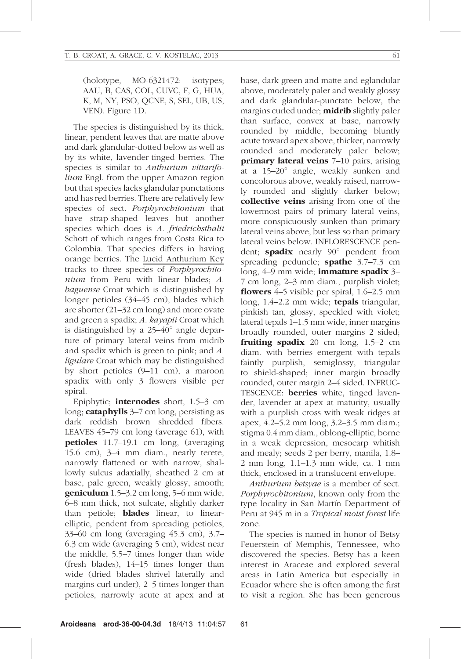(holotype, MO-6321472: isotypes; AAU, B, CAS, COL, CUVC, F, G, HUA, K, M, NY, PSO, QCNE, S, SEL, UB, US, VEN). Figure 1D.

The species is distinguished by its thick, linear, pendent leaves that are matte above and dark glandular-dotted below as well as by its white, lavender-tinged berries. The species is similar to Anthurium vittarifolium Engl. from the upper Amazon region but that species lacks glandular punctations and has red berries. There are relatively few species of sect. Porphyrochitonium that have strap-shaped leaves but another species which does is A. friedrichsthalii Schott of which ranges from Costa Rica to Colombia. That species differs in having orange berries. The Lucid Anthurium Key tracks to three species of Porphyrochitonium from Peru with linear blades; A. baguense Croat which is distinguished by longer petioles (34–45 cm), blades which are shorter (21–32 cm long) and more ovate and green a spadix; A. kayapii Croat which is distinguished by a  $25-40^\circ$  angle departure of primary lateral veins from midrib and spadix which is green to pink; and A. ligulare Croat which may be distinguished by short petioles (9–11 cm), a maroon spadix with only 3 flowers visible per spiral.

Epiphytic; internodes short, 1.5–3 cm long; **cataphylls** 3–7 cm long, persisting as dark reddish brown shredded fibers. LEAVES 45–79 cm long (average 61), with petioles 11.7–19.1 cm long, (averaging 15.6 cm), 3–4 mm diam., nearly terete, narrowly flattened or with narrow, shallowly sulcus adaxially, sheathed 2 cm at base, pale green, weakly glossy, smooth; geniculum 1.5–3.2 cm long, 5–6 mm wide, 6–8 mm thick, not sulcate, slightly darker than petiole; blades linear, to linearelliptic, pendent from spreading petioles, 33–60 cm long (averaging 45.3 cm), 3.7– 6.3 cm wide (averaging 5 cm), widest near the middle, 5.5–7 times longer than wide (fresh blades), 14–15 times longer than wide (dried blades shrivel laterally and margins curl under), 2–5 times longer than petioles, narrowly acute at apex and at base, dark green and matte and eglandular above, moderately paler and weakly glossy and dark glandular-punctate below, the margins curled under; **midrib** slightly paler than surface, convex at base, narrowly rounded by middle, becoming bluntly acute toward apex above, thicker, narrowly rounded and moderately paler below; primary lateral veins 7–10 pairs, arising at a  $15-20^\circ$  angle, weakly sunken and concolorous above, weakly raised, narrowly rounded and slightly darker below; collective veins arising from one of the lowermost pairs of primary lateral veins, more conspicuously sunken than primary lateral veins above, but less so than primary lateral veins below. INFLORESCENCE pendent; **spadix** nearly  $90^\circ$  pendent from spreading peduncle; **spathe** 3.7–7.3 cm long, 4–9 mm wide; **immature spadix** 3– 7 cm long, 2–3 mm diam., purplish violet; flowers 4–5 visible per spiral, 1.6–2.5 mm long, 1.4–2.2 mm wide; **tepals** triangular, pinkish tan, glossy, speckled with violet; lateral tepals 1–1.5 mm wide, inner margins broadly rounded, outer margins 2 sided; **fruiting spadix** 20 cm long,  $1.5-2$  cm diam. with berries emergent with tepals faintly purplish, semiglossy, triangular to shield-shaped; inner margin broadly rounded, outer margin 2–4 sided. INFRUC-TESCENCE: **berries** white, tinged lavender, lavender at apex at maturity, usually with a purplish cross with weak ridges at apex, 4.2–5.2 mm long, 3.2–3.5 mm diam.; stigma 0.4 mm diam., oblong-elliptic, borne in a weak depression, mesocarp whitish and mealy; seeds 2 per berry, manila, 1.8– 2 mm long, 1.1–1.3 mm wide, ca. 1 mm thick, enclosed in a translucent envelope.

Anthurium betsyae is a member of sect. Porphyrochitonium, known only from the type locality in San Martín Department of Peru at 945 m in a Tropical moist forest life zone.

The species is named in honor of Betsy Feuerstein of Memphis, Tennessee, who discovered the species. Betsy has a keen interest in Araceae and explored several areas in Latin America but especially in Ecuador where she is often among the first to visit a region. She has been generous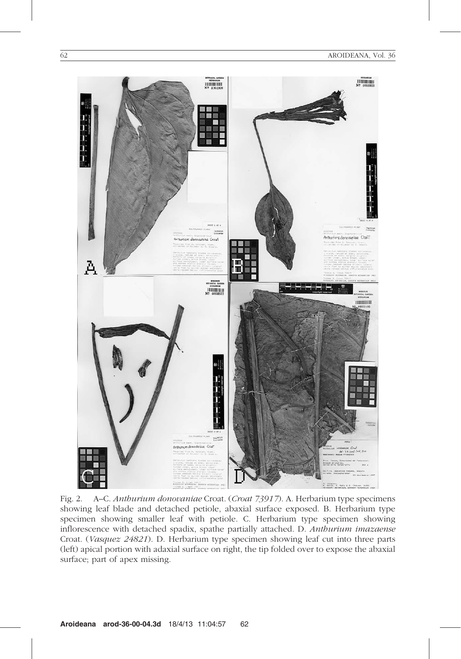

Fig. 2. A–C. Anthurium donovaniae Croat. (Croat 73917). A. Herbarium type specimens showing leaf blade and detached petiole, abaxial surface exposed. B. Herbarium type specimen showing smaller leaf with petiole. C. Herbarium type specimen showing inflorescence with detached spadix, spathe partially attached. D. Anthurium imazaense Croat. (Vasquez 24821). D. Herbarium type specimen showing leaf cut into three parts (left) apical portion with adaxial surface on right, the tip folded over to expose the abaxial surface; part of apex missing.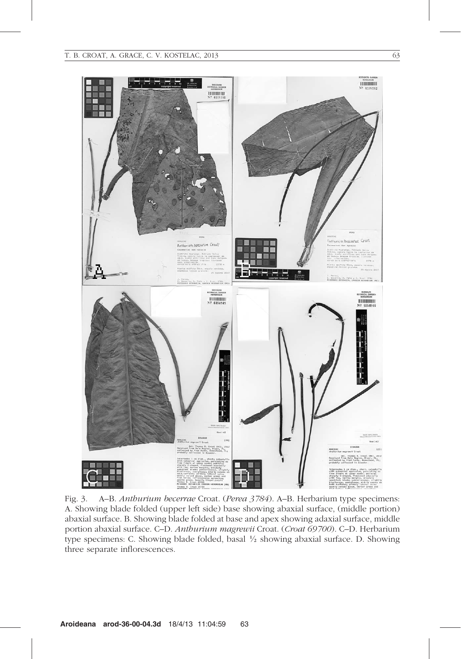

Fig. 3. A–B. Anthurium becerrae Croat. (Perea 3784). A–B. Herbarium type specimens: A. Showing blade folded (upper left side) base showing abaxial surface, (middle portion) abaxial surface. B. Showing blade folded at base and apex showing adaxial surface, middle portion abaxial surface. C–D. Anthurium magrewii Croat. (Croat 69700). C–D. Herbarium type specimens: C. Showing blade folded, basal  $\frac{1}{2}$  showing abaxial surface. D. Showing three separate inflorescences.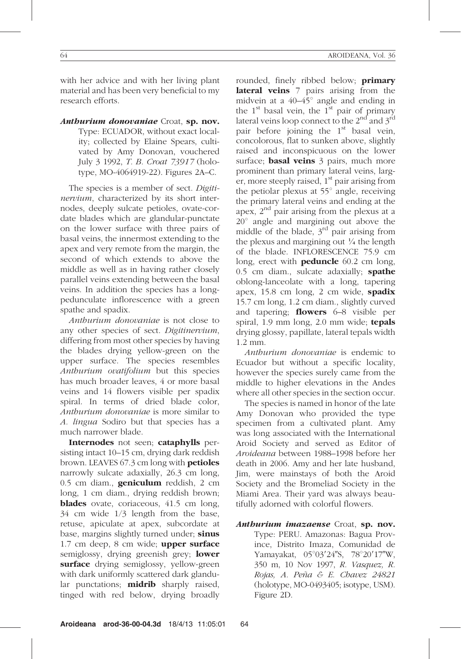with her advice and with her living plant material and has been very beneficial to my research efforts.

## Anthurium donovaniae Croat, sp. nov.

Type: ECUADOR, without exact locality; collected by Elaine Spears, cultivated by Amy Donovan, vouchered July 3 1992, T. B. Croat 73917 (holotype, MO-4064919-22). Figures 2A–C.

The species is a member of sect. Digitinervium, characterized by its short internodes, deeply sulcate petioles, ovate-cordate blades which are glandular-punctate on the lower surface with three pairs of basal veins, the innermost extending to the apex and very remote from the margin, the second of which extends to above the middle as well as in having rather closely parallel veins extending between the basal veins. In addition the species has a longpedunculate inflorescence with a green spathe and spadix.

Anthurium donovaniae is not close to any other species of sect. Digitinervium, differing from most other species by having the blades drying yellow-green on the upper surface. The species resembles Anthurium ovatifolium but this species has much broader leaves, 4 or more basal veins and 14 flowers visible per spadix spiral. In terms of dried blade color, Anthurium donovaniae is more similar to A. lingua Sodiro but that species has a much narrower blade.

Internodes not seen; cataphylls persisting intact 10–15 cm, drying dark reddish brown. LEAVES 67.3 cm long with petioles narrowly sulcate adaxially, 26.3 cm long, 0.5 cm diam., geniculum reddish, 2 cm long, 1 cm diam., drying reddish brown; **blades** ovate, coriaceous, 41.5 cm long, 34 cm wide 1/3 length from the base, retuse, apiculate at apex, subcordate at base, margins slightly turned under; sinus 1.7 cm deep, 8 cm wide; **upper surface** semiglossy, drying greenish grey; **lower** surface drying semiglossy, yellow-green with dark uniformly scattered dark glandular punctations; **midrib** sharply raised, tinged with red below, drying broadly

rounded, finely ribbed below; primary lateral veins 7 pairs arising from the midvein at a  $40-45^\circ$  angle and ending in the  $1<sup>st</sup>$  basal vein, the  $1<sup>st</sup>$  pair of primary lateral veins loop connect to the  $2<sup>nd</sup>$  and  $3<sup>rd</sup>$ pair before joining the  $1<sup>st</sup>$  basal vein, concolorous, flat to sunken above, slightly raised and inconspicuous on the lower surface; **basal veins** 3 pairs, much more prominent than primary lateral veins, larger, more steeply raised,  $1<sup>st</sup>$  pair arising from the petiolar plexus at  $55^\circ$  angle, receiving the primary lateral veins and ending at the apex,  $2<sup>nd</sup>$  pair arising from the plexus at a  $20^\circ$  angle and margining out above the middle of the blade,  $3<sup>rd</sup>$  pair arising from the plexus and margining out  $\frac{1}{4}$  the length of the blade. INFLORESCENCE 75.9 cm long, erect with **peduncle** 60.2 cm long, 0.5 cm diam., sulcate adaxially; spathe oblong-lanceolate with a long, tapering apex, 15.8 cm long, 2 cm wide, spadix 15.7 cm long, 1.2 cm diam., slightly curved and tapering; flowers 6–8 visible per spiral, 1.9 mm long, 2.0 mm wide; tepals drying glossy, papillate, lateral tepals width 1.2 mm.

Anthurium donovaniae is endemic to Ecuador but without a specific locality, however the species surely came from the middle to higher elevations in the Andes where all other species in the section occur.

The species is named in honor of the late Amy Donovan who provided the type specimen from a cultivated plant. Amy was long associated with the International Aroid Society and served as Editor of Aroideana between 1988–1998 before her death in 2006. Amy and her late husband, Jim, were mainstays of both the Aroid Society and the Bromeliad Society in the Miami Area. Their yard was always beautifully adorned with colorful flowers.

Anthurium imazaense Croat, sp. nov. Type: PERU. Amazonas: Bagua Province, Distrito Imaza, Comunidad de Yamayakat, 05°03'24"S, 78°20'17"W, 350 m, 10 Nov 1997, R. Vasquez, R. Rojas, A. Peña & E. Chavez 24821 (holotype, MO-0493405; isotype, USM). Figure 2D.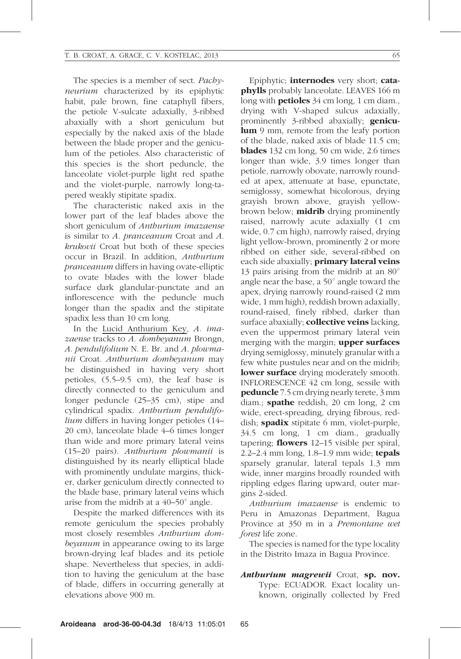The species is a member of sect. Pachyneurium characterized by its epiphytic habit, pale brown, fine cataphyll fibers, the petiole V-sulcate adaxially, 3-ribbed abaxially with a short geniculum but especially by the naked axis of the blade between the blade proper and the geniculum of the petioles. Also characteristic of this species is the short peduncle, the lanceolate violet-purple light red spathe and the violet-purple, narrowly long-tapered weakly stipitate spadix.

The characteristic naked axis in the lower part of the leaf blades above the short geniculum of Anthurium imazaense is similar to A. pranceanum Croat and A. krukovii Croat but both of these species occur in Brazil. In addition, Anthurium pranceanum differs in having ovate-elliptic to ovate blades with the lower blade surface dark glandular-punctate and an inflorescence with the peduncle much longer than the spadix and the stipitate spadix less than 10 cm long.

In the Lucid Anthurium Key, A. imazaense tracks to A. dombeyanum Brongn, A. pendulifolium N. E. Br. and A. plowmanii Croat. Anthurium dombeyanum may be distinguished in having very short petioles, (5.5–9.5 cm), the leaf base is directly connected to the geniculum and longer peduncle (25–35 cm), stipe and cylindrical spadix. Anthurium pendulifolium differs in having longer petioles (14– 20 cm), lanceolate blade 4–6 times longer than wide and more primary lateral veins (15–20 pairs). Anthurium plowmanii is distinguished by its nearly elliptical blade with prominently undulate margins, thicker, darker geniculum directly connected to the blade base, primary lateral veins which arise from the midrib at a  $40-50^{\circ}$  angle.

Despite the marked differences with its remote geniculum the species probably most closely resembles Anthurium dombeyanum in appearance owing to its large brown-drying leaf blades and its petiole shape. Nevertheless that species, in addition to having the geniculum at the base of blade, differs in occurring generally at elevations above 900 m.

Epiphytic; internodes very short; cataphylls probably lanceolate. LEAVES 166 m long with **petioles** 34 cm long, 1 cm diam., drying with V-shaped sulcus adaxially, prominently 3-ribbed abaxially; **genicu**lum 9 mm, remote from the leafy portion of the blade, naked axis of blade 11.5 cm; blades 132 cm long, 50 cm wide, 2.6 times longer than wide, 3.9 times longer than petiole, narrowly obovate, narrowly rounded at apex, attenuate at base, epunctate, semiglossy, somewhat bicolorous, drying grayish brown above, grayish yellowbrown below; **midrib** drying prominently raised, narrowly acute adaxially (1 cm wide, 0.7 cm high), narrowly raised, drying light yellow-brown, prominently 2 or more ribbed on either side, several-ribbed on each side abaxially; **primary lateral veins** 13 pairs arising from the midrib at an  $80^\circ$ angle near the base, a  $50^{\circ}$  angle toward the apex, drying narrowly round-raised (2 mm wide, 1 mm high), reddish brown adaxially, round-raised, finely ribbed, darker than surface abaxially: **collective veins** lacking, even the uppermost primary lateral vein merging with the margin; **upper surfaces** drying semiglossy, minutely granular with a few white pustules near and on the midrib; **lower surface** drying moderately smooth. INFLORESCENCE 42 cm long, sessile with peduncle 7.5 cm drying nearly terete, 3 mm diam.; spathe reddish, 20 cm long, 2 cm wide, erect-spreading, drying fibrous, reddish; **spadix** stipitate 6 mm, violet-purple, 34.5 cm long, 1 cm diam., gradually tapering; **flowers** 12–15 visible per spiral, 2.2–2.4 mm long, 1.8–1.9 mm wide; tepals sparsely granular, lateral tepals 1.3 mm wide, inner margins broadly rounded with

Anthurium imazaense is endemic to Peru in Amazonas Department, Bagua Province at 350 m in a Premontane wet forest life zone.

rippling edges flaring upward, outer mar-

gins 2-sided.

The species is named for the type locality in the Distrito Imaza in Bagua Province.

## Anthurium magrewii Croat, sp. nov. Type: ECUADOR. Exact locality unknown, originally collected by Fred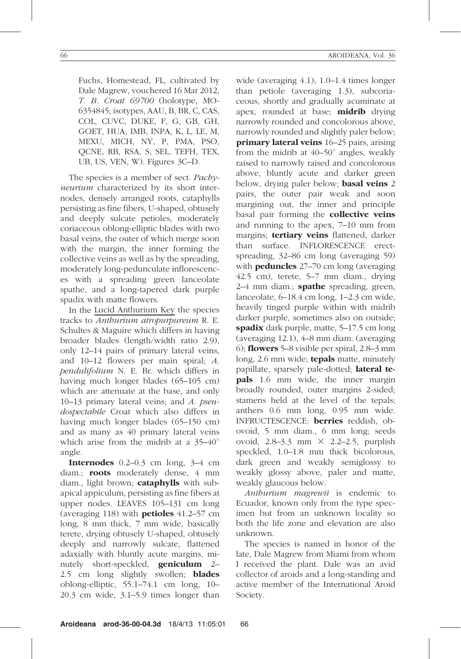Fuchs, Homestead, FL, cultivated by Dale Magrew, vouchered 16 Mar 2012, T. B. Croat 69700 (holotype, MO-6354845; isotypes, AAU, B, BR, C, CAS, COL, CUVC, DUKE, F, G, GB, GH, GOET, HUA, IMB, INPA, K, L, LE, M, MEXU, MICH, NY, P, PMA, PSO, QCNE, RB, RSA, S, SEL, TEFH, TEX, UB, US, VEN, W). Figures 3C–D.

The species is a member of sect. Pachyneurium characterized by its short internodes, densely arranged roots, cataphylls persisting as fine fibers, U-shaped, obtusely and deeply sulcate petioles, moderately coriaceous oblong-elliptic blades with two basal veins, the outer of which merge soon with the margin, the inner forming the collective veins as well as by the spreading, moderately long-pedunculate inflorescences with a spreading green lanceolate spathe, and a long-tapered dark purple spadix with matte flowers.

In the Lucid Anthurium Key the species tracks to Anthurium atropurpureum R. E. Schultes & Maguire which differs in having broader blades (length/width ratio 2.9), only 12–14 pairs of primary lateral veins, and 10–12 flowers per main spiral; A. pendulifolium N. E. Br. which differs in having much longer blades (65–105 cm) which are attenuate at the base, and only 10–13 primary lateral veins; and A. pseudospectabile Croat which also differs in having much longer blades (65–150 cm) and as many as 40 primary lateral veins which arise from the midrib at a  $35-40^{\circ}$ angle.

Internodes 0.2–0.3 cm long, 3–4 cm diam.; roots moderately dense, 4 mm diam., light brown; cataphylls with subapical appiculum, persisting as fine fibers at upper nodes. LEAVES 105–131 cm long (averaging 118) with petioles 41.2–57 cm long, 8 mm thick, 7 mm wide, basically terete, drying obtusely U-shaped, obtusely deeply and narrowly sulcate, flattened adaxially with bluntly acute margins, minutely short-speckled, geniculum 2– 2.5 cm long slightly swollen; **blades** oblong-elliptic, 55.1–74.1 cm long, 10– 20.3 cm wide, 3.1–5.9 times longer than wide (averaging 4.1), 1.0–1.4 times longer than petiole (averaging 1.3), subcoriaceous, shortly and gradually acuminate at apex, rounded at base; **midrib** drying narrowly rounded and concolorous above, narrowly rounded and slightly paler below; primary lateral veins 16–25 pairs, arising from the midrib at  $40-50^\circ$  angles, weakly raised to narrowly raised and concolorous above, bluntly acute and darker green below, drying paler below; **basal veins** 2 pairs, the outer pair weak and soon margining out, the inner and principle basal pair forming the collective veins and running to the apex, 7–10 mm from margins; **tertiary veins** flattened, darker than surface. INFLORESCENCE erectspreading, 32–86 cm long (averaging 59) with **peduncles** 27–70 cm long (averaging 42.5 cm), terete, 5–7 mm diam., drying 2–4 mm diam.; **spathe** spreading, green, lanceolate, 6–18.4 cm long, 1–2.3 cm wide, heavily tinged purple within with midrib darker purple, sometimes also on outside; spadix dark purple, matte, 5-17.5 cm long (averaging 12.1), 4–8 mm diam. (averaging 6); flowers 5–8 visible per spiral, 2.8–3 mm long, 2.6 mm wide; **tepals** matte, minutely papillate, sparsely pale-dotted; lateral tepals 1.6 mm wide, the inner margin broadly rounded, outer margins 2-sided; stamens held at the level of the tepals; anthers 0.6 mm long, 0.95 mm wide. INFRUCTESCENCE: berries reddish, obovoid, 5 mm diam., 6 mm long; seeds ovoid,  $2.8-3.3$  mm  $\times$  2.2-2.5, purplish speckled, 1.0–1.8 mm thick bicolorous, dark green and weakly semiglossy to weakly glossy above, paler and matte, weakly glaucous below.

Anthurium magrewii is endemic to Ecuador, known only from the type specimen but from an unknown locality so both the life zone and elevation are also unknown.

The species is named in honor of the late, Dale Magrew from Miami from whom I received the plant. Dale was an avid collector of aroids and a long-standing and active member of the International Aroid Society.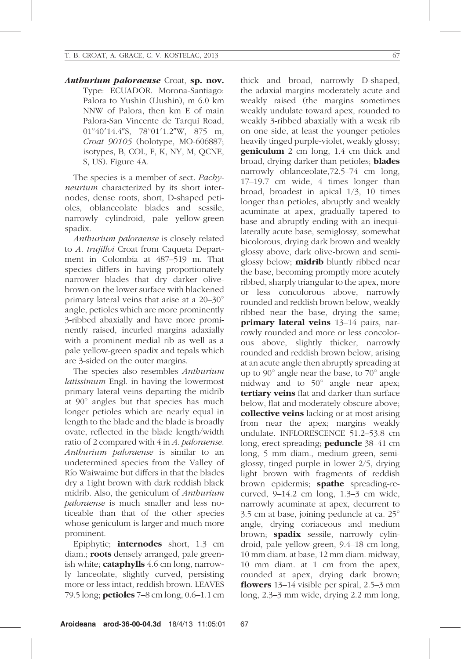Anthurium paloraense Croat, sp. nov. Type: ECUADOR. Morona-Santiago: Palora to Yushin (Llushin), m 6.0 km NNW of Palora, then km E of main Palora-San Vincente de Tarquí Road,  $01^{\circ}40'14.4''\text{S}$ ,  $78^{\circ}01'1.2''\text{W}$ ,  $875 \text{ m}$ , Croat 90105 (holotype, MO-606887; isotypes, B, COL, F, K, NY, M, QCNE, S, US). Figure 4A.

The species is a member of sect. Pachyneurium characterized by its short internodes, dense roots, short, D-shaped petioles, oblanceolate blades and sessile, narrowly cylindroid, pale yellow-green spadix.

Anthurium paloraense is closely related to A. trujilloi Croat from Caqueta Department in Colombia at 487–519 m. That species differs in having proportionately narrower blades that dry darker olivebrown on the lower surface with blackened primary lateral veins that arise at a  $20-30^\circ$ angle, petioles which are more prominently 3-ribbed abaxially and have more prominently raised, incurled margins adaxially with a prominent medial rib as well as a pale yellow-green spadix and tepals which are 3-sided on the outer margins.

The species also resembles *Anthurium* latissimum Engl. in having the lowermost primary lateral veins departing the midrib at  $90^\circ$  angles but that species has much longer petioles which are nearly equal in length to the blade and the blade is broadly ovate, reflected in the blade length/width ratio of 2 compared with 4 in A. paloraense. Anthurium paloraense is similar to an undetermined species from the Valley of Rı´o Waiwaime but differs in that the blades dry a 1ight brown with dark reddish black midrib. Also, the geniculum of Anthurium paloraense is much smaller and less noticeable than that of the other species whose geniculum is larger and much more prominent.

Epiphytic; internodes short, 1.3 cm diam.; **roots** densely arranged, pale greenish white; **cataphylls**  $4.6$  cm long, narrowly lanceolate, slightly curved, persisting more or less intact, reddish brown. LEAVES 79.5 long; **petioles** 7–8 cm long,  $0.6-1.1$  cm

thick and broad, narrowly D-shaped, the adaxial margins moderately acute and weakly raised (the margins sometimes weakly undulate toward apex, rounded to weakly 3-ribbed abaxially with a weak rib on one side, at least the younger petioles heavily tinged purple-violet, weakly glossy; geniculum 2 cm long, 1.4 cm thick and broad, drying darker than petioles; blades narrowly oblanceolate,72.5–74 cm long, 17–19.7 cm wide, 4 times longer than broad, broadest in apical 1/3, 10 times longer than petioles, abruptly and weakly acuminate at apex, gradually tapered to base and abruptly ending with an inequilaterally acute base, semiglossy, somewhat bicolorous, drying dark brown and weakly glossy above, dark olive-brown and semiglossy below; **midrib** bluntly ribbed near the base, becoming promptly more acutely ribbed, sharply triangular to the apex, more or less concolorous above, narrowly rounded and reddish brown below, weakly ribbed near the base, drying the same; primary lateral veins 13–14 pairs, narrowly rounded and more or less concolorous above, slightly thicker, narrowly rounded and reddish brown below, arising at an acute angle then abruptly spreading at up to  $90^\circ$  angle near the base, to  $70^\circ$  angle midway and to  $50^{\circ}$  angle near apex; tertiary veins flat and darker than surface below, flat and moderately obscure above; collective veins lacking or at most arising from near the apex; margins weakly undulate. INFLORESCENCE 51.2–53.8 cm long, erect-spreading; **peduncle** 38–41 cm long, 5 mm diam., medium green, semiglossy, tinged purple in lower 2/5, drying light brown with fragments of reddish brown epidermis; **spathe** spreading-recurved, 9–14.2 cm long, 1.3–3 cm wide, narrowly acuminate at apex, decurrent to 3.5 cm at base, joining peduncle at ca.  $25^\circ$ angle, drying coriaceous and medium brown; **spadix** sessile, narrowly cylindroid, pale yellow-green, 9.4–18 cm long, 10 mm diam. at base, 12 mm diam. midway, 10 mm diam. at 1 cm from the apex, rounded at apex, drying dark brown; flowers 13–14 visible per spiral, 2.5–3 mm long, 2.3–3 mm wide, drying 2.2 mm long,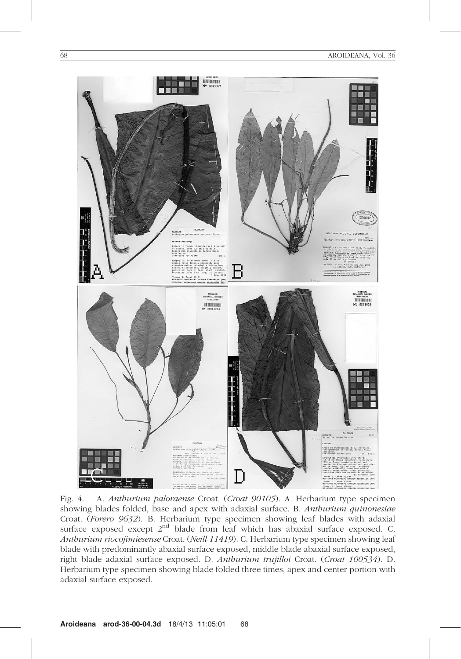

Fig. 4. A. Anthurium paloraense Croat. (Croat 90105). A. Herbarium type specimen showing blades folded, base and apex with adaxial surface. B. Anthurium quinonesiae Croat. (Forero 9632). B. Herbarium type specimen showing leaf blades with adaxial surface exposed except  $2<sup>nd</sup>$  blade from leaf which has abaxial surface exposed. C. Anthurium riocojimiesense Croat. (Neill 11419). C. Herbarium type specimen showing leaf blade with predominantly abaxial surface exposed, middle blade abaxial surface exposed, right blade adaxial surface exposed. D. Anthurium trujilloi Croat. (Croat 100534). D. Herbarium type specimen showing blade folded three times, apex and center portion with adaxial surface exposed.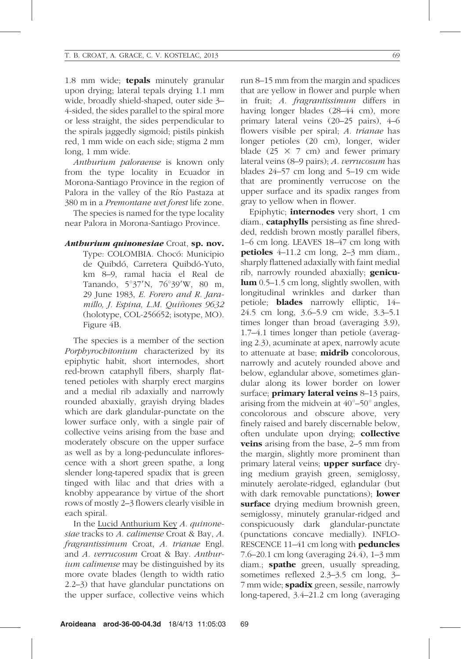1.8 mm wide; **tepals** minutely granular upon drying; lateral tepals drying 1.1 mm wide, broadly shield-shaped, outer side 3– 4-sided, the sides parallel to the spiral more or less straight, the sides perpendicular to the spirals jaggedly sigmoid; pistils pinkish red, 1 mm wide on each side; stigma 2 mm long, 1 mm wide.

Anthurium paloraense is known only from the type locality in Ecuador in Morona-Santiago Province in the region of Palora in the valley of the Río Pastaza at 380 m in a Premontane wet forest life zone.

The species is named for the type locality near Palora in Morona-Santiago Province.

Anthurium quinonesiae Croat, sp. nov. Type: COLOMBIA. Chocó: Municipio de Quibdó, Carretera Quibdó-Yuto, km 8–9, ramal hacia el Real de Tanando, 5°37'N, 76°39'W, 80 m, 29 June 1983, E. Forero and R. Jaramillo, J. Espina, L.M. Quiñones 9632 (holotype, COL-256652; isotype, MO). Figure 4B.

The species is a member of the section Porphyrochitonium characterized by its epiphytic habit, short internodes, short red-brown cataphyll fibers, sharply flattened petioles with sharply erect margins and a medial rib adaxially and narrowly rounded abaxially, grayish drying blades which are dark glandular-punctate on the lower surface only, with a single pair of collective veins arising from the base and moderately obscure on the upper surface as well as by a long-pedunculate inflorescence with a short green spathe, a long slender long-tapered spadix that is green tinged with lilac and that dries with a knobby appearance by virtue of the short rows of mostly 2–3 flowers clearly visible in each spiral.

In the Lucid Anthurium Key A. quinonesiae tracks to A. calimense Croat & Bay, A. fragrantissimum Croat, A. trianae Engl. and A. verrucosum Croat & Bay. Anthurium calimense may be distinguished by its more ovate blades (length to width ratio 2.2–3) that have glandular punctations on the upper surface, collective veins which run 8–15 mm from the margin and spadices that are yellow in flower and purple when in fruit; A. fragrantissimum differs in having longer blades (28–44 cm), more primary lateral veins (20–25 pairs), 4–6 flowers visible per spiral; A. trianae has longer petioles (20 cm), longer, wider blade (25  $\times$  7 cm) and fewer primary lateral veins (8–9 pairs); A. verrucosum has blades 24–57 cm long and 5–19 cm wide that are prominently verrucose on the upper surface and its spadix ranges from gray to yellow when in flower.

Epiphytic; internodes very short, 1 cm diam., **cataphylls** persisting as fine shredded, reddish brown mostly parallel fibers, 1–6 cm long. LEAVES 18–47 cm long with petioles 4–11.2 cm long, 2–3 mm diam., sharply flattened adaxially with faint medial rib, narrowly rounded abaxially; geniculum 0.5–1.5 cm long, slightly swollen, with longitudinal wrinkles and darker than petiole; blades narrowly elliptic, 14– 24.5 cm long, 3.6–5.9 cm wide, 3.3–5.1 times longer than broad (averaging 3.9), 1.7–4.1 times longer than petiole (averaging 2.3), acuminate at apex, narrowly acute to attenuate at base; **midrib** concolorous, narrowly and acutely rounded above and below, eglandular above, sometimes glandular along its lower border on lower surface; **primary lateral veins** 8–13 pairs, arising from the midvein at  $40^{\circ}$ –50° angles, concolorous and obscure above, very finely raised and barely discernable below, often undulate upon drying; collective veins arising from the base, 2–5 mm from the margin, slightly more prominent than primary lateral veins; **upper surface** drying medium grayish green, semiglossy, minutely aerolate-ridged, eglandular (but with dark removable punctations); lower surface drying medium brownish green, semiglossy, minutely granular-ridged and conspicuously dark glandular-punctate (punctations concave medially). INFLO-RESCENCE 11–41 cm long with **peduncles** 7.6–20.1 cm long (averaging 24.4), 1–3 mm diam.; **spathe** green, usually spreading, sometimes reflexed 2.3–3.5 cm long, 3– 7 mm wide; **spadix** green, sessile, narrowly long-tapered, 3.4–21.2 cm long (averaging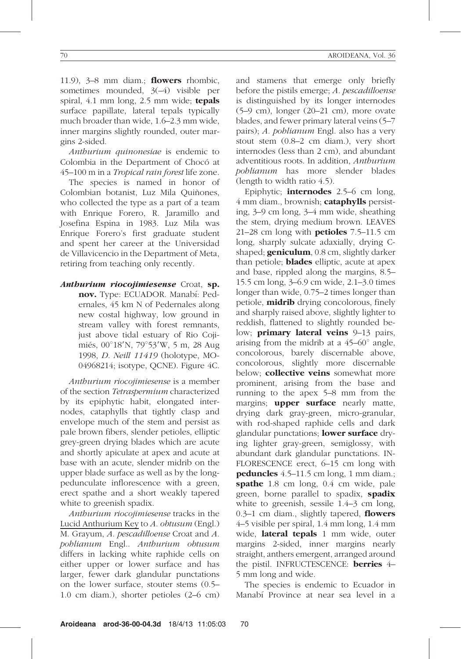11.9),  $3-8$  mm diam.; **flowers** rhombic, sometimes mounded, 3(–4) visible per spiral, 4.1 mm long, 2.5 mm wide; tepals surface papillate, lateral tepals typically much broader than wide, 1.6–2.3 mm wide, inner margins slightly rounded, outer margins 2-sided.

Anthurium quinonesiae is endemic to Colombia in the Department of Chocó at 45–100 m in a Tropical rain forest life zone.

The species is named in honor of Colombian botanist, Luz Mila Quiñones, who collected the type as a part of a team with Enrique Forero, R. Jaramillo and Josefina Espina in 1983. Luz Mila was Enrique Forero's first graduate student and spent her career at the Universidad de Villavicencio in the Department of Meta, retiring from teaching only recently.

Anthurium riocojimiesense Croat, sp. nov. Type: ECUADOR. Manabí: Pedernales, 45 km N of Pedernales along new costal highway, low ground in stream valley with forest remnants, just above tidal estuary of Rio Cojimiés, 00°18'N, 79°53'W, 5 m, 28 Aug 1998, D. Neill 11419 (holotype, MO-04968214; isotype, QCNE). Figure 4C.

Anthurium riocojimiesense is a member of the section Tetraspermium characterized by its epiphytic habit, elongated internodes, cataphylls that tightly clasp and envelope much of the stem and persist as pale brown fibers, slender petioles, elliptic grey-green drying blades which are acute and shortly apiculate at apex and acute at base with an acute, slender midrib on the upper blade surface as well as by the longpedunculate inflorescence with a green, erect spathe and a short weakly tapered white to greenish spadix.

Anthurium riocojimiesense tracks in the Lucid Anthurium Key to A. obtusum (Engl.) M. Grayum, A. pescadilloense Croat and A. pohlianum Engl.. Anthurium obtusum differs in lacking white raphide cells on either upper or lower surface and has larger, fewer dark glandular punctations on the lower surface, stouter stems (0.5– 1.0 cm diam.), shorter petioles (2–6 cm) and stamens that emerge only briefly before the pistils emerge; A. pescadilloense is distinguished by its longer internodes (5–9 cm), longer (20–21 cm), more ovate blades, and fewer primary lateral veins (5–7 pairs); A. pohlianum Engl. also has a very stout stem (0.8–2 cm diam.), very short internodes (less than 2 cm), and abundant adventitious roots. In addition, Anthurium

pohlianum has more slender blades

(length to width ratio 4.5). Epiphytic; **internodes**  $2.5-6$  cm long, 4 mm diam., brownish; cataphylls persisting, 3–9 cm long, 3–4 mm wide, sheathing the stem, drying medium brown. LEAVES 21–28 cm long with **petioles**  $7.5-11.5$  cm long, sharply sulcate adaxially, drying Cshaped; geniculum, 0.8 cm, slightly darker than petiole; **blades** elliptic, acute at apex and base, rippled along the margins, 8.5– 15.5 cm long, 3–6.9 cm wide, 2.1–3.0 times longer than wide, 0.75–2 times longer than petiole, **midrib** drying concolorous, finely and sharply raised above, slightly lighter to reddish, flattened to slightly rounded below; **primary lateral veins** 9–13 pairs, arising from the midrib at a  $45-60^{\circ}$  angle. concolorous, barely discernable above, concolorous, slightly more discernable below; **collective veins** somewhat more prominent, arising from the base and running to the apex 5–8 mm from the margins; **upper surface** nearly matte, drying dark gray-green, micro-granular, with rod-shaped raphide cells and dark glandular punctations; lower surface drying lighter gray-green, semiglossy, with abundant dark glandular punctations. IN-FLORESCENCE erect, 6–15 cm long with peduncles 4.5–11.5 cm long, 1 mm diam.; spathe 1.8 cm long, 0.4 cm wide, pale green, borne parallel to spadix, spadix white to greenish, sessile 1.4–3 cm long, 0.3–1 cm diam., slightly tapered, **flowers** 4–5 visible per spiral, 1.4 mm long, 1.4 mm wide, lateral tepals 1 mm wide, outer margins 2-sided, inner margins nearly straight, anthers emergent, arranged around the pistil. INFRUCTESCENCE: berries 4– 5 mm long and wide.

The species is endemic to Ecuador in Manabı´ Province at near sea level in a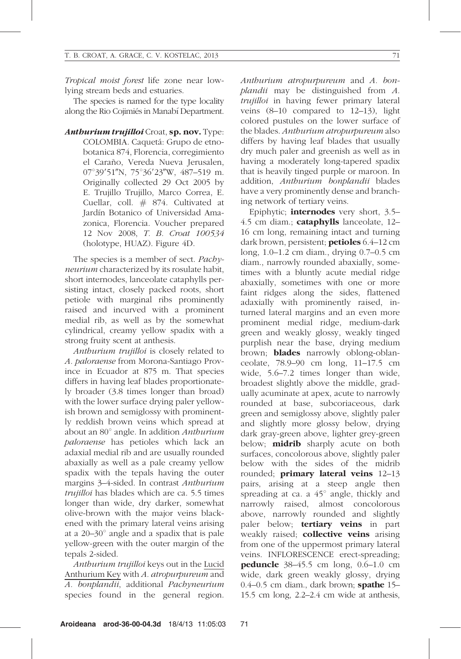Tropical moist forest life zone near lowlying stream beds and estuaries.

The species is named for the type locality along the Rio Cojimiés in Manabí Department.

Anthurium trujilloi Croat, sp. nov. Type: COLOMBIA. Caquetá: Grupo de etnobotanica 874, Florencia, corregimiento el Caraño, Vereda Nueva Jerusalen, 07°39'51"N, 75°36'23"W, 487–519 m. Originally collected 29 Oct 2005 by E. Trujillo Trujillo, Marco Correa, E. Cuellar, coll. # 874. Cultivated at Jardín Botanico of Universidad Amazonica, Florencia. Voucher prepared 12 Nov 2008, T. B. Croat 100534 (holotype, HUAZ). Figure 4D.

The species is a member of sect. Pachyneurium characterized by its rosulate habit, short internodes, lanceolate cataphylls persisting intact, closely packed roots, short petiole with marginal ribs prominently raised and incurved with a prominent medial rib, as well as by the somewhat cylindrical, creamy yellow spadix with a strong fruity scent at anthesis.

Anthurium trujilloi is closely related to A. paloraense from Morona-Santiago Province in Ecuador at 875 m. That species differs in having leaf blades proportionately broader (3.8 times longer than broad) with the lower surface drying paler yellowish brown and semiglossy with prominently reddish brown veins which spread at about an  $80^\circ$  angle. In addition Anthurium paloraense has petioles which lack an adaxial medial rib and are usually rounded abaxially as well as a pale creamy yellow spadix with the tepals having the outer margins 3–4-sided. In contrast Anthurium trujilloi has blades which are ca. 5.5 times longer than wide, dry darker, somewhat olive-brown with the major veins blackened with the primary lateral veins arising at a  $20-30^\circ$  angle and a spadix that is pale yellow-green with the outer margin of the tepals 2-sided.

Anthurium trujilloi keys out in the Lucid Anthurium Key with A. atropurpureum and A. bonplandii, additional Pachyneurium species found in the general region.

Anthurium atropurpureum and A. bonplandii may be distinguished from A. trujilloi in having fewer primary lateral veins (8–10 compared to 12–13), light colored pustules on the lower surface of the blades. Anthurium atropurpureum also differs by having leaf blades that usually dry much paler and greenish as well as in having a moderately long-tapered spadix that is heavily tinged purple or maroon. In addition, Anthurium bonplandii blades have a very prominently dense and branching network of tertiary veins.

Epiphytic; internodes very short, 3.5– 4.5 cm diam.; **cataphylls** lanceolate, 12– 16 cm long, remaining intact and turning dark brown, persistent; petioles 6.4–12 cm long, 1.0–1.2 cm diam., drying 0.7–0.5 cm diam., narrowly rounded abaxially, sometimes with a bluntly acute medial ridge abaxially, sometimes with one or more faint ridges along the sides, flattened adaxially with prominently raised, inturned lateral margins and an even more prominent medial ridge, medium-dark green and weakly glossy, weakly tinged purplish near the base, drying medium brown; **blades** narrowly oblong-oblanceolate, 78.9–90 cm long, 11–17.5 cm wide, 5.6–7.2 times longer than wide, broadest slightly above the middle, gradually acuminate at apex, acute to narrowly rounded at base, subcoriaceous, dark green and semiglossy above, slightly paler and slightly more glossy below, drying dark gray-green above, lighter grey-green below; **midrib** sharply acute on both surfaces, concolorous above, slightly paler below with the sides of the midrib rounded; **primary lateral veins** 12-13 pairs, arising at a steep angle then spreading at ca. a  $45^{\circ}$  angle, thickly and narrowly raised, almost concolorous above, narrowly rounded and slightly paler below; tertiary veins in part weakly raised; collective veins arising from one of the uppermost primary lateral veins. INFLORESCENCE erect-spreading; **peduncle** 38–45.5 cm long, 0.6–1.0 cm wide, dark green weakly glossy, drying  $0.4-0.5$  cm diam., dark brown; **spathe** 15– 15.5 cm long, 2.2–2.4 cm wide at anthesis,